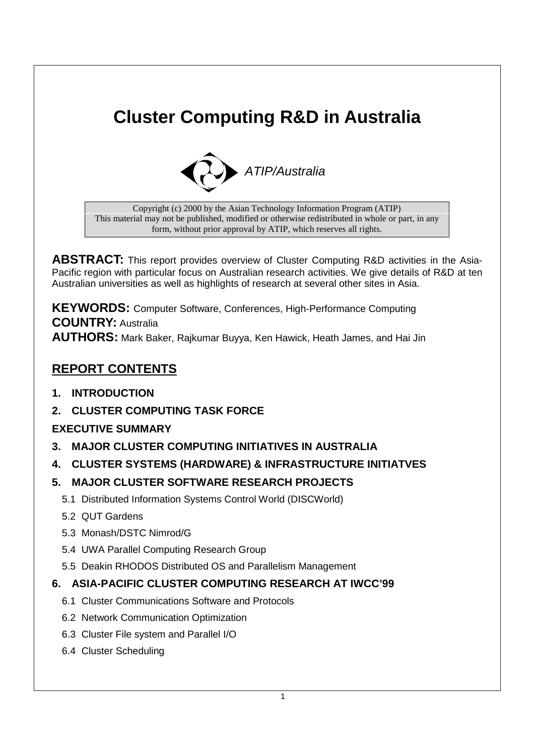# **Cluster Computing R&D in Australia**



Copyright (c) 2000 by the Asian Technology Information Program (ATIP) This material may not be published, modified or otherwise redistributed in whole or part, in any form, without prior approval by ATIP, which reserves all rights.

**ABSTRACT:** This report provides overview of Cluster Computing R&D activities in the Asia-Pacific region with particular focus on Australian research activities. We give details of R&D at ten Australian universities as well as highlights of research at several other sites in Asia.

**KEYWORDS:** Computer Software, Conferences, High-Performance Computing **COUNTRY:** Australia **AUTHORS:** Mark Baker, Rajkumar Buyya, Ken Hawick, Heath James, and Hai Jin

### **REPORT CONTENTS**

- **1. INTRODUCTION**
- **2. CLUSTER COMPUTING TASK FORCE**

### **EXECUTIVE SUMMARY**

- **3. MAJOR CLUSTER COMPUTING INITIATIVES IN AUSTRALIA**
- **4. CLUSTER SYSTEMS (HARDWARE) & INFRASTRUCTURE INITIATVES**

### **5. MAJOR CLUSTER SOFTWARE RESEARCH PROJECTS**

- 5.1 Distributed Information Systems Control World (DISCWorld)
- 5.2 QUT Gardens
- 5.3 Monash/DSTC Nimrod/G
- 5.4 UWA Parallel Computing Research Group
- 5.5 Deakin RHODOS Distributed OS and Parallelism Management

### **6. ASIA-PACIFIC CLUSTER COMPUTING RESEARCH AT IWCC'99**

- 6.1 Cluster Communications Software and Protocols
- 6.2 Network Communication Optimization
- 6.3 Cluster File system and Parallel I/O
- 6.4 Cluster Scheduling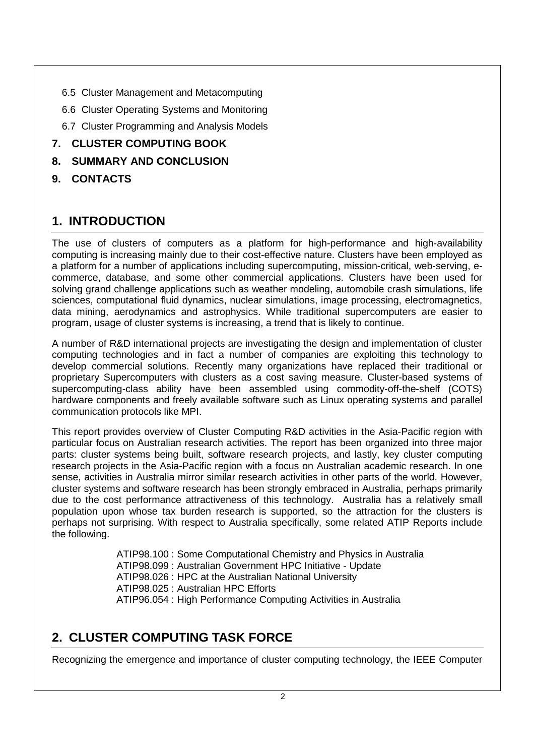- 6.5 Cluster Management and Metacomputing
- 6.6 Cluster Operating Systems and Monitoring
- 6.7 Cluster Programming and Analysis Models

### **7. CLUSTER COMPUTING BOOK**

- **8. SUMMARY AND CONCLUSION**
- **9. CONTACTS**

## **1. INTRODUCTION**

The use of clusters of computers as a platform for high-performance and high-availability computing is increasing mainly due to their cost-effective nature. Clusters have been employed as a platform for a number of applications including supercomputing, mission-critical, web-serving, ecommerce, database, and some other commercial applications. Clusters have been used for solving grand challenge applications such as weather modeling, automobile crash simulations, life sciences, computational fluid dynamics, nuclear simulations, image processing, electromagnetics, data mining, aerodynamics and astrophysics. While traditional supercomputers are easier to program, usage of cluster systems is increasing, a trend that is likely to continue.

A number of R&D international projects are investigating the design and implementation of cluster computing technologies and in fact a number of companies are exploiting this technology to develop commercial solutions. Recently many organizations have replaced their traditional or proprietary Supercomputers with clusters as a cost saving measure. Cluster-based systems of supercomputing-class ability have been assembled using commodity-off-the-shelf (COTS) hardware components and freely available software such as Linux operating systems and parallel communication protocols like MPI.

This report provides overview of Cluster Computing R&D activities in the Asia-Pacific region with particular focus on Australian research activities. The report has been organized into three major parts: cluster systems being built, software research projects, and lastly, key cluster computing research projects in the Asia-Pacific region with a focus on Australian academic research. In one sense, activities in Australia mirror similar research activities in other parts of the world. However, cluster systems and software research has been strongly embraced in Australia, perhaps primarily due to the cost performance attractiveness of this technology. Australia has a relatively small population upon whose tax burden research is supported, so the attraction for the clusters is perhaps not surprising. With respect to Australia specifically, some related ATIP Reports include the following.

> ATIP98.100 : Some Computational Chemistry and Physics in Australia ATIP98.099 : Australian Government HPC Initiative - Update ATIP98.026 : HPC at the Australian National University ATIP98.025 : Australian HPC Efforts ATIP96.054 : High Performance Computing Activities in Australia

# **2. CLUSTER COMPUTING TASK FORCE**

Recognizing the emergence and importance of cluster computing technology, the IEEE Computer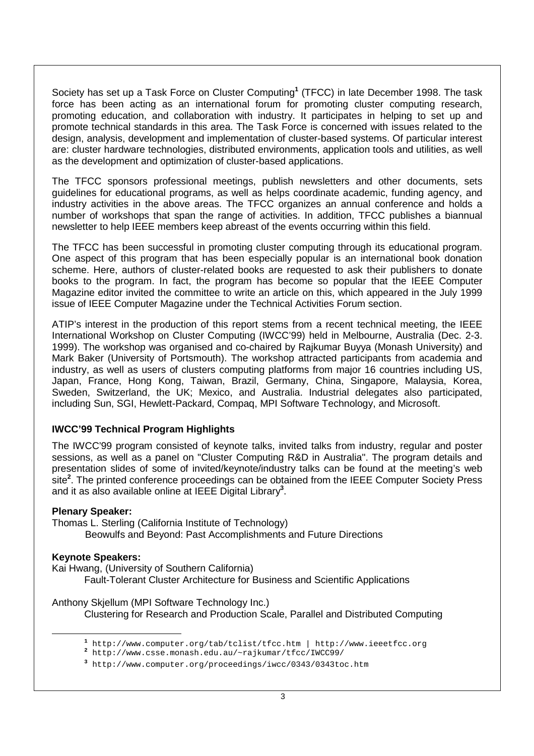Society has set up a Task Force on Cluster Computing**<sup>1</sup>** (TFCC) in late December 1998. The task force has been acting as an international forum for promoting cluster computing research, promoting education, and collaboration with industry. It participates in helping to set up and promote technical standards in this area. The Task Force is concerned with issues related to the design, analysis, development and implementation of cluster-based systems. Of particular interest are: cluster hardware technologies, distributed environments, application tools and utilities, as well as the development and optimization of cluster-based applications.

The TFCC sponsors professional meetings, publish newsletters and other documents, sets guidelines for educational programs, as well as helps coordinate academic, funding agency, and industry activities in the above areas. The TFCC organizes an annual conference and holds a number of workshops that span the range of activities. In addition, TFCC publishes a biannual newsletter to help IEEE members keep abreast of the events occurring within this field.

The TFCC has been successful in promoting cluster computing through its educational program. One aspect of this program that has been especially popular is an international book donation scheme. Here, authors of cluster-related books are requested to ask their publishers to donate books to the program. In fact, the program has become so popular that the IEEE Computer Magazine editor invited the committee to write an article on this, which appeared in the July 1999 issue of IEEE Computer Magazine under the Technical Activities Forum section.

ATIP's interest in the production of this report stems from a recent technical meeting, the IEEE International Workshop on Cluster Computing (IWCC'99) held in Melbourne, Australia (Dec. 2-3. 1999). The workshop was organised and co-chaired by Rajkumar Buyya (Monash University) and Mark Baker (University of Portsmouth). The workshop attracted participants from academia and industry, as well as users of clusters computing platforms from major 16 countries including US, Japan, France, Hong Kong, Taiwan, Brazil, Germany, China, Singapore, Malaysia, Korea, Sweden, Switzerland, the UK; Mexico, and Australia. Industrial delegates also participated, including Sun, SGI, Hewlett-Packard, Compaq, MPI Software Technology, and Microsoft.

#### **IWCC'99 Technical Program Highlights**

The IWCC'99 program consisted of keynote talks, invited talks from industry, regular and poster sessions, as well as a panel on "Cluster Computing R&D in Australia". The program details and presentation slides of some of invited/keynote/industry talks can be found at the meeting's web site**<sup>2</sup>** . The printed conference proceedings can be obtained from the IEEE Computer Society Press and it as also available online at IEEE Digital Library**<sup>3</sup>** .

#### **Plenary Speaker:**

Thomas L. Sterling (California Institute of Technology) Beowulfs and Beyond: Past Accomplishments and Future Directions

#### **Keynote Speakers:**

 $\overline{a}$ 

Kai Hwang, (University of Southern California) Fault-Tolerant Cluster Architecture for Business and Scientific Applications

Anthony Skjellum (MPI Software Technology Inc.)

Clustering for Research and Production Scale, Parallel and Distributed Computing

**<sup>1</sup>** http://www.computer.org/tab/tclist/tfcc.htm | http://www.ieeetfcc.org

**<sup>2</sup>** http://www.csse.monash.edu.au/~rajkumar/tfcc/IWCC99/

**<sup>3</sup>** http://www.computer.org/proceedings/iwcc/0343/0343toc.htm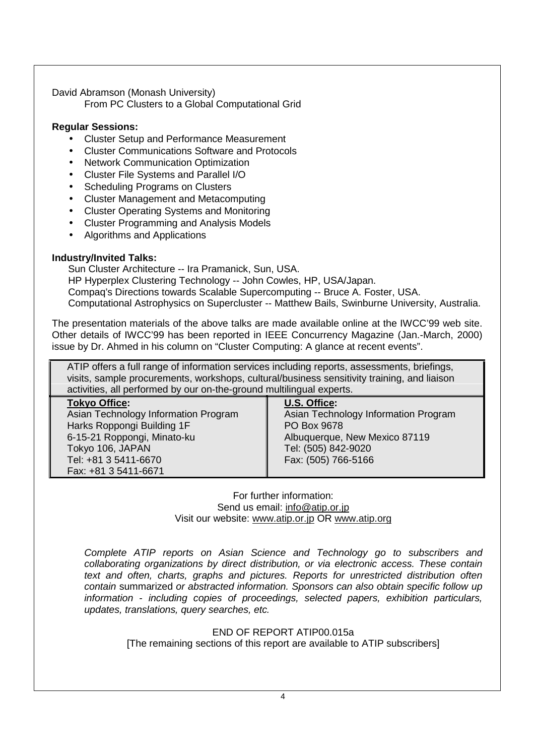David Abramson (Monash University) From PC Clusters to a Global Computational Grid

#### **Regular Sessions:**

- Cluster Setup and Performance Measurement
- Cluster Communications Software and Protocols
- Network Communication Optimization
- Cluster File Systems and Parallel I/O
- Scheduling Programs on Clusters
- Cluster Management and Metacomputing
- Cluster Operating Systems and Monitoring
- Cluster Programming and Analysis Models
- Algorithms and Applications

#### **Industry/Invited Talks:**

Sun Cluster Architecture -- Ira Pramanick, Sun, USA.

HP Hyperplex Clustering Technology -- John Cowles, HP, USA/Japan.

Compaq's Directions towards Scalable Supercomputing -- Bruce A. Foster, USA.

Computational Astrophysics on Supercluster -- Matthew Bails, Swinburne University, Australia.

The presentation materials of the above talks are made available online at the IWCC'99 web site. Other details of IWCC'99 has been reported in IEEE Concurrency Magazine (Jan.-March, 2000) issue by Dr. Ahmed in his column on "Cluster Computing: A glance at recent events".

ATIP offers a full range of information services including reports, assessments, briefings, visits, sample procurements, workshops, cultural/business sensitivity training, and liaison activities, all performed by our on-the-ground multilingual experts.

| <b>Tokyo Office:</b>                 | U.S. Office:                         |
|--------------------------------------|--------------------------------------|
| Asian Technology Information Program | Asian Technology Information Program |
| Harks Roppongi Building 1F           | PO Box 9678                          |
| 6-15-21 Roppongi, Minato-ku          | Albuquerque, New Mexico 87119        |
| Tokyo 106, JAPAN                     | Tel: (505) 842-9020                  |
| Tel: +81 3 5411-6670                 | Fax: (505) 766-5166                  |
| Fax: +81 3 5411-6671                 |                                      |

For further information: Send us email: info@atip.or.jp Visit our website: www.atip.or.jp OR www.atip.org

Complete ATIP reports on Asian Science and Technology go to subscribers and collaborating organizations by direct distribution, or via electronic access. These contain text and often, charts, graphs and pictures. Reports for unrestricted distribution often contain summarized or abstracted information. Sponsors can also obtain specific follow up information - including copies of proceedings, selected papers, exhibition particulars, updates, translations, query searches, etc.

### END OF REPORT ATIP00.015a

[The remaining sections of this report are available to ATIP subscribers]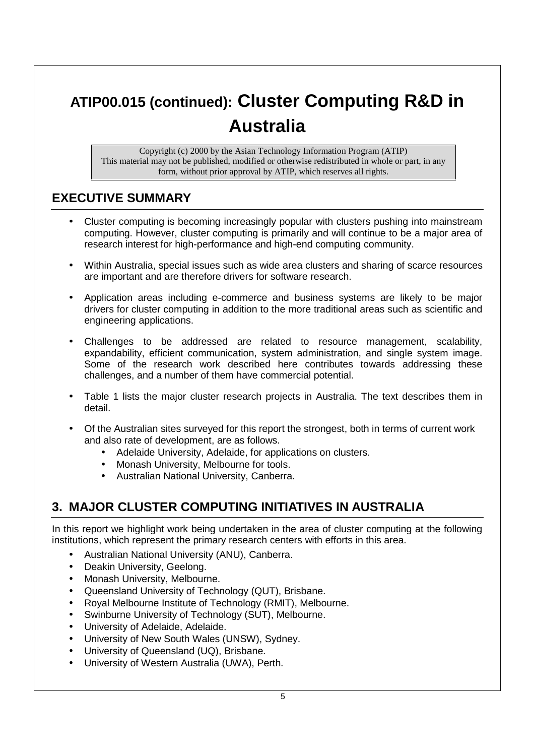# **ATIP00.015 (continued): Cluster Computing R&D in Australia**

Copyright (c) 2000 by the Asian Technology Information Program (ATIP) This material may not be published, modified or otherwise redistributed in whole or part, in any form, without prior approval by ATIP, which reserves all rights.

### **EXECUTIVE SUMMARY**

- Cluster computing is becoming increasingly popular with clusters pushing into mainstream computing. However, cluster computing is primarily and will continue to be a major area of research interest for high-performance and high-end computing community.
- Within Australia, special issues such as wide area clusters and sharing of scarce resources are important and are therefore drivers for software research.
- Application areas including e-commerce and business systems are likely to be major drivers for cluster computing in addition to the more traditional areas such as scientific and engineering applications.
- Challenges to be addressed are related to resource management, scalability, expandability, efficient communication, system administration, and single system image. Some of the research work described here contributes towards addressing these challenges, and a number of them have commercial potential.
- Table 1 lists the major cluster research projects in Australia. The text describes them in detail.
- Of the Australian sites surveyed for this report the strongest, both in terms of current work and also rate of development, are as follows.
	- Adelaide University, Adelaide, for applications on clusters.
	- Monash University, Melbourne for tools.
	- Australian National University, Canberra.

## **3. MAJOR CLUSTER COMPUTING INITIATIVES IN AUSTRALIA**

In this report we highlight work being undertaken in the area of cluster computing at the following institutions, which represent the primary research centers with efforts in this area.

- Australian National University (ANU), Canberra.
- Deakin University, Geelong.
- Monash University, Melbourne.
- Queensland University of Technology (QUT), Brisbane.
- Royal Melbourne Institute of Technology (RMIT), Melbourne.
- Swinburne University of Technology (SUT), Melbourne.
- University of Adelaide, Adelaide.
- University of New South Wales (UNSW), Sydney.
- University of Queensland (UQ), Brisbane.
- University of Western Australia (UWA), Perth.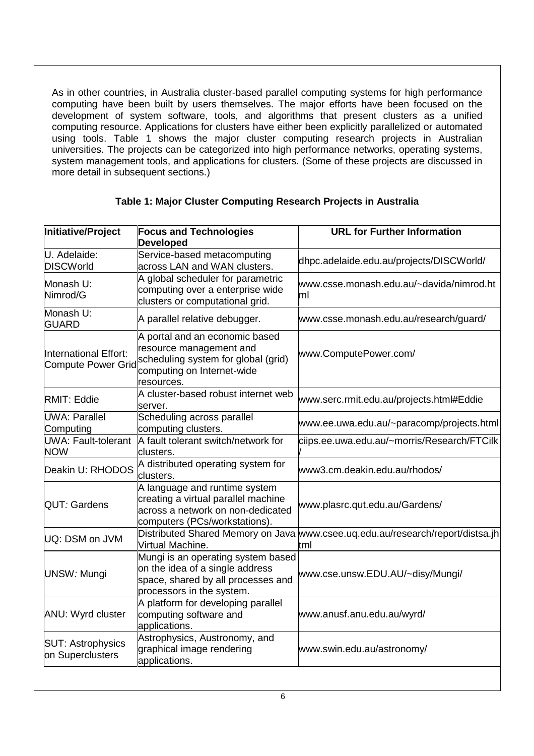As in other countries, in Australia cluster-based parallel computing systems for high performance computing have been built by users themselves. The major efforts have been focused on the development of system software, tools, and algorithms that present clusters as a unified computing resource. Applications for clusters have either been explicitly parallelized or automated using tools. Table 1 shows the major cluster computing research projects in Australian universities. The projects can be categorized into high performance networks, operating systems, system management tools, and applications for clusters. (Some of these projects are discussed in more detail in subsequent sections.)

| Initiative/Project                                 | <b>Focus and Technologies</b><br><b>Developed</b>                                                                                            | <b>URL for Further Information</b>                                                    |
|----------------------------------------------------|----------------------------------------------------------------------------------------------------------------------------------------------|---------------------------------------------------------------------------------------|
| U. Adelaide:<br><b>DISCWorld</b>                   | Service-based metacomputing<br>across LAN and WAN clusters.                                                                                  | dhpc.adelaide.edu.au/projects/DISCWorld/                                              |
| Monash U:<br>Nimrod/G                              | A global scheduler for parametric<br>computing over a enterprise wide<br>clusters or computational grid.                                     | www.csse.monash.edu.au/~davida/nimrod.ht<br>ml                                        |
| Monash U:<br><b>GUARD</b>                          | A parallel relative debugger.                                                                                                                | www.csse.monash.edu.au/research/guard/                                                |
| International Effort:<br><b>Compute Power Grid</b> | A portal and an economic based<br>resource management and<br>scheduling system for global (grid)<br>computing on Internet-wide<br>resources. | www.ComputePower.com/                                                                 |
| <b>RMIT: Eddie</b>                                 | A cluster-based robust internet web<br>server.                                                                                               | www.serc.rmit.edu.au/projects.html#Eddie                                              |
| <b>UWA: Parallel</b><br>Computing                  | Scheduling across parallel<br>computing clusters.                                                                                            | www.ee.uwa.edu.au/~paracomp/projects.html                                             |
| <b>UWA: Fault-tolerant</b><br><b>NOW</b>           | A fault tolerant switch/network for<br>clusters.                                                                                             | ciips.ee.uwa.edu.au/~morris/Research/FTCilk                                           |
| Deakin U: RHODOS                                   | A distributed operating system for<br>clusters.                                                                                              | www3.cm.deakin.edu.au/rhodos/                                                         |
| QUT: Gardens                                       | A language and runtime system<br>creating a virtual parallel machine<br>across a network on non-dedicated<br>computers (PCs/workstations).   | www.plasrc.qut.edu.au/Gardens/                                                        |
| UQ: DSM on JVM                                     | Virtual Machine.                                                                                                                             | Distributed Shared Memory on Java www.csee.uq.edu.au/research/report/distsa.jh<br>tml |
| UNSW: Mungi                                        | Mungi is an operating system based<br>on the idea of a single address<br>space, shared by all processes and<br>processors in the system.     | www.cse.unsw.EDU.AU/~disy/Mungi/                                                      |
| <b>ANU: Wyrd cluster</b>                           | A platform for developing parallel<br>computing software and<br>applications.                                                                | www.anusf.anu.edu.au/wyrd/                                                            |
| <b>SUT: Astrophysics</b><br>on Superclusters       | Astrophysics, Austronomy, and<br>graphical image rendering<br>applications.                                                                  | www.swin.edu.au/astronomy/                                                            |
|                                                    |                                                                                                                                              |                                                                                       |

### **Table 1: Major Cluster Computing Research Projects in Australia**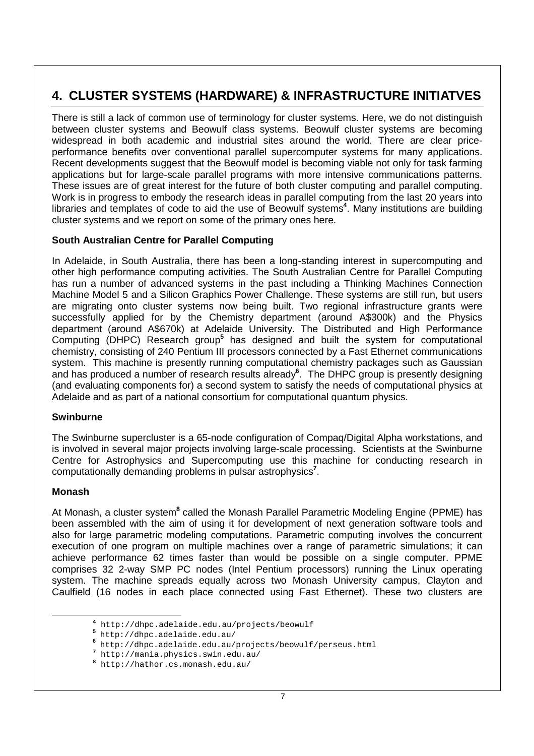# **4. CLUSTER SYSTEMS (HARDWARE) & INFRASTRUCTURE INITIATVES**

There is still a lack of common use of terminology for cluster systems. Here, we do not distinguish between cluster systems and Beowulf class systems. Beowulf cluster systems are becoming widespread in both academic and industrial sites around the world. There are clear priceperformance benefits over conventional parallel supercomputer systems for many applications. Recent developments suggest that the Beowulf model is becoming viable not only for task farming applications but for large-scale parallel programs with more intensive communications patterns. These issues are of great interest for the future of both cluster computing and parallel computing. Work is in progress to embody the research ideas in parallel computing from the last 20 years into libraries and templates of code to aid the use of Beowulf systems**<sup>4</sup>** . Many institutions are building cluster systems and we report on some of the primary ones here.

### **South Australian Centre for Parallel Computing**

In Adelaide, in South Australia, there has been a long-standing interest in supercomputing and other high performance computing activities. The South Australian Centre for Parallel Computing has run a number of advanced systems in the past including a Thinking Machines Connection Machine Model 5 and a Silicon Graphics Power Challenge. These systems are still run, but users are migrating onto cluster systems now being built. Two regional infrastructure grants were successfully applied for by the Chemistry department (around A\$300k) and the Physics department (around A\$670k) at Adelaide University. The Distributed and High Performance Computing (DHPC) Research group**<sup>5</sup>** has designed and built the system for computational chemistry, consisting of 240 Pentium III processors connected by a Fast Ethernet communications system. This machine is presently running computational chemistry packages such as Gaussian and has produced a number of research results already**<sup>6</sup>** . The DHPC group is presently designing (and evaluating components for) a second system to satisfy the needs of computational physics at Adelaide and as part of a national consortium for computational quantum physics.

### **Swinburne**

The Swinburne supercluster is a 65-node configuration of Compaq/Digital Alpha workstations, and is involved in several major projects involving large-scale processing. Scientists at the Swinburne Centre for Astrophysics and Supercomputing use this machine for conducting research in computationally demanding problems in pulsar astrophysics**<sup>7</sup>** .

### **Monash**

At Monash, a cluster system<sup>8</sup> called the Monash Parallel Parametric Modeling Engine (PPME) has been assembled with the aim of using it for development of next generation software tools and also for large parametric modeling computations. Parametric computing involves the concurrent execution of one program on multiple machines over a range of parametric simulations; it can achieve performance 62 times faster than would be possible on a single computer. PPME comprises 32 2-way SMP PC nodes (Intel Pentium processors) running the Linux operating system. The machine spreads equally across two Monash University campus, Clayton and Caulfield (16 nodes in each place connected using Fast Ethernet). These two clusters are

**<sup>4</sup>** http://dhpc.adelaide.edu.au/projects/beowulf

**<sup>5</sup>** http://dhpc.adelaide.edu.au/ **<sup>6</sup>**

http://dhpc.adelaide.edu.au/projects/beowulf/perseus.html

**<sup>7</sup>** http://mania.physics.swin.edu.au/

**<sup>8</sup>** http://hathor.cs.monash.edu.au/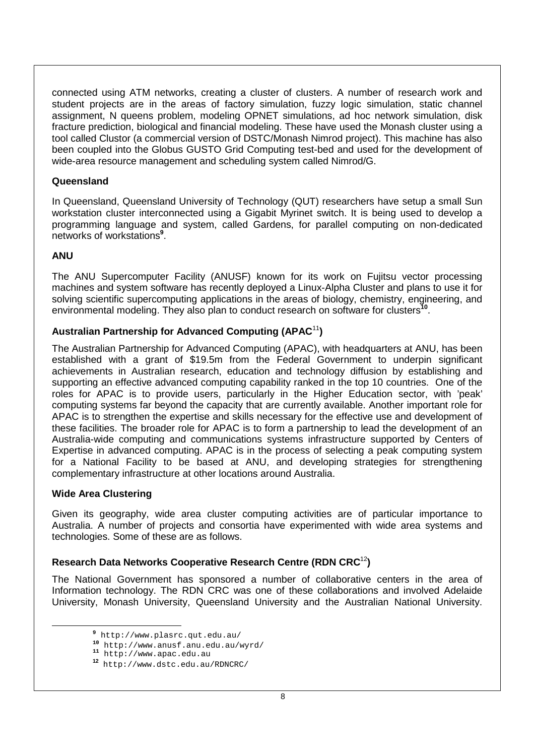connected using ATM networks, creating a cluster of clusters. A number of research work and student projects are in the areas of factory simulation, fuzzy logic simulation, static channel assignment, N queens problem, modeling OPNET simulations, ad hoc network simulation, disk fracture prediction, biological and financial modeling. These have used the Monash cluster using a tool called Clustor (a commercial version of DSTC/Monash Nimrod project). This machine has also been coupled into the Globus GUSTO Grid Computing test-bed and used for the development of wide-area resource management and scheduling system called Nimrod/G.

#### **Queensland**

In Queensland, Queensland University of Technology (QUT) researchers have setup a small Sun workstation cluster interconnected using a Gigabit Myrinet switch. It is being used to develop a programming language and system, called Gardens, for parallel computing on non-dedicated networks of workstations**<sup>9</sup>** .

#### **ANU**

The ANU Supercomputer Facility (ANUSF) known for its work on Fujitsu vector processing machines and system software has recently deployed a Linux-Alpha Cluster and plans to use it for solving scientific supercomputing applications in the areas of biology, chemistry, engineering, and environmental modeling. They also plan to conduct research on software for clusters**<sup>10</sup>**.

### **Australian Partnership for Advanced Computing (APAC**<sup>11</sup>**)**

The Australian Partnership for Advanced Computing (APAC), with headquarters at ANU, has been established with a grant of \$19.5m from the Federal Government to underpin significant achievements in Australian research, education and technology diffusion by establishing and supporting an effective advanced computing capability ranked in the top 10 countries. One of the roles for APAC is to provide users, particularly in the Higher Education sector, with 'peak' computing systems far beyond the capacity that are currently available. Another important role for APAC is to strengthen the expertise and skills necessary for the effective use and development of these facilities. The broader role for APAC is to form a partnership to lead the development of an Australia-wide computing and communications systems infrastructure supported by Centers of Expertise in advanced computing. APAC is in the process of selecting a peak computing system for a National Facility to be based at ANU, and developing strategies for strengthening complementary infrastructure at other locations around Australia.

#### **Wide Area Clustering**

 $\overline{a}$ 

Given its geography, wide area cluster computing activities are of particular importance to Australia. A number of projects and consortia have experimented with wide area systems and technologies. Some of these are as follows.

### **Research Data Networks Cooperative Research Centre (RDN CRC**<sup>12</sup>**)**

The National Government has sponsored a number of collaborative centers in the area of Information technology. The RDN CRC was one of these collaborations and involved Adelaide University, Monash University, Queensland University and the Australian National University.

**<sup>9</sup>** http://www.plasrc.qut.edu.au/

**<sup>10</sup>** http://www.anusf.anu.edu.au/wyrd/ **<sup>11</sup>** http://www.apac.edu.au

**<sup>12</sup>** http://www.dstc.edu.au/RDNCRC/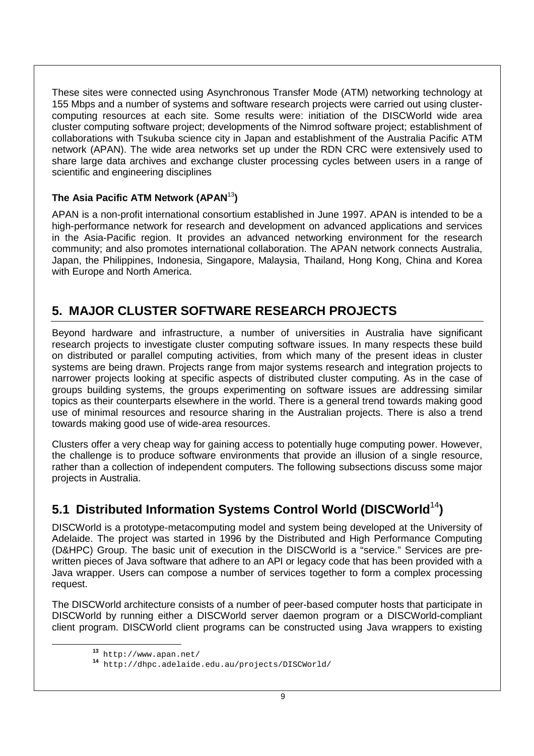These sites were connected using Asynchronous Transfer Mode (ATM) networking technology at 155 Mbps and a number of systems and software research projects were carried out using clustercomputing resources at each site. Some results were: initiation of the DISCWorld wide area cluster computing software project; developments of the Nimrod software project; establishment of collaborations with Tsukuba science city in Japan and establishment of the Australia Pacific ATM network (APAN). The wide area networks set up under the RDN CRC were extensively used to share large data archives and exchange cluster processing cycles between users in a range of scientific and engineering disciplines

### **The Asia Pacific ATM Network (APAN**<sup>13</sup>**)**

APAN is a non-profit international consortium established in June 1997. APAN is intended to be a high-performance network for research and development on advanced applications and services in the Asia-Pacific region. It provides an advanced networking environment for the research community; and also promotes international collaboration. The APAN network connects Australia, Japan, the Philippines, Indonesia, Singapore, Malaysia, Thailand, Hong Kong, China and Korea with Europe and North America.

# **5. MAJOR CLUSTER SOFTWARE RESEARCH PROJECTS**

Beyond hardware and infrastructure, a number of universities in Australia have significant research projects to investigate cluster computing software issues. In many respects these build on distributed or parallel computing activities, from which many of the present ideas in cluster systems are being drawn. Projects range from major systems research and integration projects to narrower projects looking at specific aspects of distributed cluster computing. As in the case of groups building systems, the groups experimenting on software issues are addressing similar topics as their counterparts elsewhere in the world. There is a general trend towards making good use of minimal resources and resource sharing in the Australian projects. There is also a trend towards making good use of wide-area resources.

Clusters offer a very cheap way for gaining access to potentially huge computing power. However, the challenge is to produce software environments that provide an illusion of a single resource, rather than a collection of independent computers. The following subsections discuss some major projects in Australia.

# **5.1 Distributed Information Systems Control World (DISCWorld**<sup>14</sup>**)**

DISCWorld is a prototype-metacomputing model and system being developed at the University of Adelaide. The project was started in 1996 by the Distributed and High Performance Computing (D&HPC) Group. The basic unit of execution in the DISCWorld is a "service." Services are prewritten pieces of Java software that adhere to an API or legacy code that has been provided with a Java wrapper. Users can compose a number of services together to form a complex processing request.

The DISCWorld architecture consists of a number of peer-based computer hosts that participate in DISCWorld by running either a DISCWorld server daemon program or a DISCWorld-compliant client program. DISCWorld client programs can be constructed using Java wrappers to existing

**<sup>13</sup>** http://www.apan.net/ **<sup>14</sup>** http://dhpc.adelaide.edu.au/projects/DISCWorld/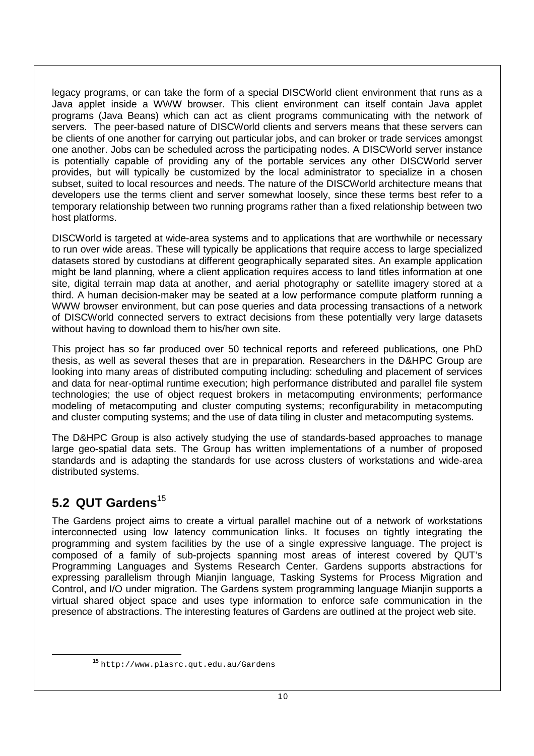legacy programs, or can take the form of a special DISCWorld client environment that runs as a Java applet inside a WWW browser. This client environment can itself contain Java applet programs (Java Beans) which can act as client programs communicating with the network of servers. The peer-based nature of DISCWorld clients and servers means that these servers can be clients of one another for carrying out particular jobs, and can broker or trade services amongst one another. Jobs can be scheduled across the participating nodes. A DISCWorld server instance is potentially capable of providing any of the portable services any other DISCWorld server provides, but will typically be customized by the local administrator to specialize in a chosen subset, suited to local resources and needs. The nature of the DISCWorld architecture means that developers use the terms client and server somewhat loosely, since these terms best refer to a temporary relationship between two running programs rather than a fixed relationship between two host platforms.

DISCWorld is targeted at wide-area systems and to applications that are worthwhile or necessary to run over wide areas. These will typically be applications that require access to large specialized datasets stored by custodians at different geographically separated sites. An example application might be land planning, where a client application requires access to land titles information at one site, digital terrain map data at another, and aerial photography or satellite imagery stored at a third. A human decision-maker may be seated at a low performance compute platform running a WWW browser environment, but can pose queries and data processing transactions of a network of DISCWorld connected servers to extract decisions from these potentially very large datasets without having to download them to his/her own site.

This project has so far produced over 50 technical reports and refereed publications, one PhD thesis, as well as several theses that are in preparation. Researchers in the D&HPC Group are looking into many areas of distributed computing including: scheduling and placement of services and data for near-optimal runtime execution; high performance distributed and parallel file system technologies; the use of object request brokers in metacomputing environments; performance modeling of metacomputing and cluster computing systems; reconfigurability in metacomputing and cluster computing systems; and the use of data tiling in cluster and metacomputing systems.

The D&HPC Group is also actively studying the use of standards-based approaches to manage large geo-spatial data sets. The Group has written implementations of a number of proposed standards and is adapting the standards for use across clusters of workstations and wide-area distributed systems.

## **5.2 QUT Gardens**<sup>15</sup>

The Gardens project aims to create a virtual parallel machine out of a network of workstations interconnected using low latency communication links. It focuses on tightly integrating the programming and system facilities by the use of a single expressive language. The project is composed of a family of sub-projects spanning most areas of interest covered by QUT's Programming Languages and Systems Research Center. Gardens supports abstractions for expressing parallelism through Mianjin language, Tasking Systems for Process Migration and Control, and I/O under migration. The Gardens system programming language Mianjin supports a virtual shared object space and uses type information to enforce safe communication in the presence of abstractions. The interesting features of Gardens are outlined at the project web site.

**<sup>15</sup>** http://www.plasrc.qut.edu.au/Gardens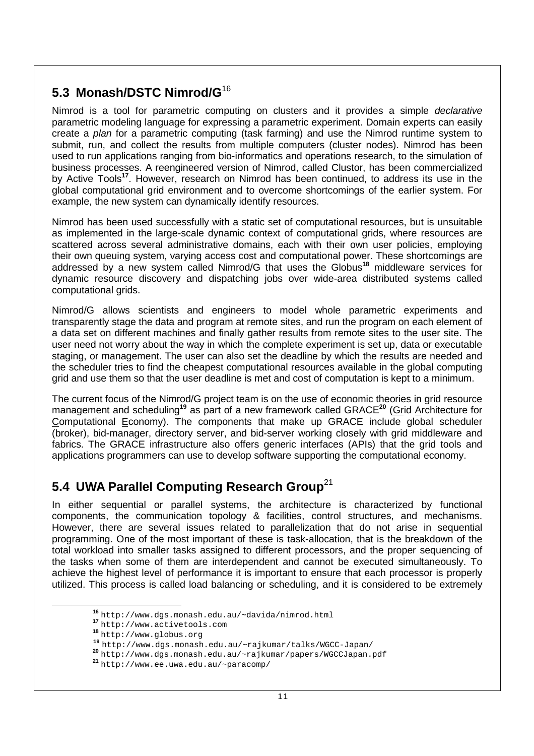# **5.3 Monash/DSTC Nimrod/G**<sup>16</sup>

Nimrod is a tool for parametric computing on clusters and it provides a simple *declarative* parametric modeling language for expressing a parametric experiment. Domain experts can easily create a plan for a parametric computing (task farming) and use the Nimrod runtime system to submit, run, and collect the results from multiple computers (cluster nodes). Nimrod has been used to run applications ranging from bio-informatics and operations research, to the simulation of business processes. A reengineered version of Nimrod, called Clustor, has been commercialized by Active Tools**<sup>17</sup>**. However, research on Nimrod has been continued, to address its use in the global computational grid environment and to overcome shortcomings of the earlier system. For example, the new system can dynamically identify resources.

Nimrod has been used successfully with a static set of computational resources, but is unsuitable as implemented in the large-scale dynamic context of computational grids, where resources are scattered across several administrative domains, each with their own user policies, employing their own queuing system, varying access cost and computational power. These shortcomings are addressed by a new system called Nimrod/G that uses the Globus**<sup>18</sup>** middleware services for dynamic resource discovery and dispatching jobs over wide-area distributed systems called computational grids.

Nimrod/G allows scientists and engineers to model whole parametric experiments and transparently stage the data and program at remote sites, and run the program on each element of a data set on different machines and finally gather results from remote sites to the user site. The user need not worry about the way in which the complete experiment is set up, data or executable staging, or management. The user can also set the deadline by which the results are needed and the scheduler tries to find the cheapest computational resources available in the global computing grid and use them so that the user deadline is met and cost of computation is kept to a minimum.

The current focus of the Nimrod/G project team is on the use of economic theories in grid resource management and scheduling**<sup>19</sup>** as part of a new framework called GRACE**<sup>20</sup>** (Grid Architecture for Computational Economy). The components that make up GRACE include global scheduler (broker), bid-manager, directory server, and bid-server working closely with grid middleware and fabrics. The GRACE infrastructure also offers generic interfaces (APIs) that the grid tools and applications programmers can use to develop software supporting the computational economy.

# **5.4 UWA Parallel Computing Research Group**<sup>21</sup>

In either sequential or parallel systems, the architecture is characterized by functional components, the communication topology & facilities, control structures, and mechanisms. However, there are several issues related to parallelization that do not arise in sequential programming. One of the most important of these is task-allocation, that is the breakdown of the total workload into smaller tasks assigned to different processors, and the proper sequencing of the tasks when some of them are interdependent and cannot be executed simultaneously. To achieve the highest level of performance it is important to ensure that each processor is properly utilized. This process is called load balancing or scheduling, and it is considered to be extremely

**<sup>16</sup>** http://www.dgs.monash.edu.au/~davida/nimrod.html **<sup>17</sup>** http://www.activetools.com **<sup>18</sup>** http://www.globus.org

**<sup>20</sup>** http://www.dgs.monash.edu.au/~rajkumar/papers/WGCCJapan.pdf<br><sup>21</sup> http://www.ee.uwa.edu.au/~paracomp/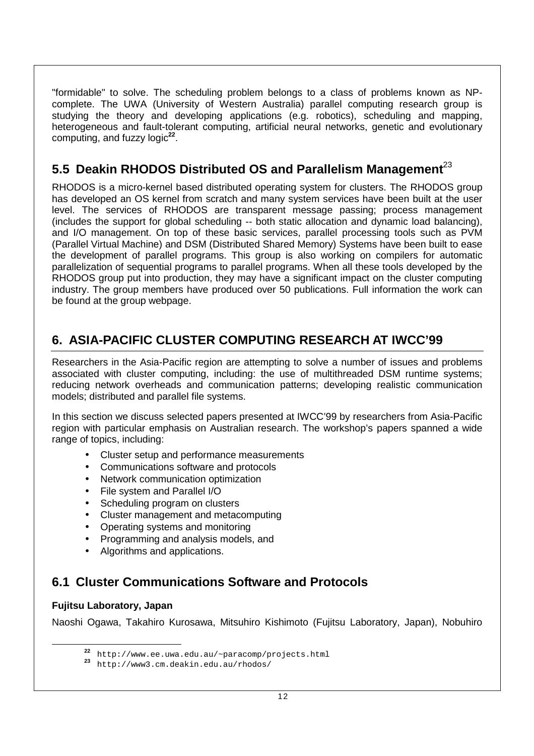"formidable" to solve. The scheduling problem belongs to a class of problems known as NPcomplete. The UWA (University of Western Australia) parallel computing research group is studying the theory and developing applications (e.g. robotics), scheduling and mapping, heterogeneous and fault-tolerant computing, artificial neural networks, genetic and evolutionary computing, and fuzzy logic**<sup>22</sup>**.

# **5.5 Deakin RHODOS Distributed OS and Parallelism Management**<sup>23</sup>

RHODOS is a micro-kernel based distributed operating system for clusters. The RHODOS group has developed an OS kernel from scratch and many system services have been built at the user level. The services of RHODOS are transparent message passing; process management (includes the support for global scheduling -- both static allocation and dynamic load balancing), and I/O management. On top of these basic services, parallel processing tools such as PVM (Parallel Virtual Machine) and DSM (Distributed Shared Memory) Systems have been built to ease the development of parallel programs. This group is also working on compilers for automatic parallelization of sequential programs to parallel programs. When all these tools developed by the RHODOS group put into production, they may have a significant impact on the cluster computing industry. The group members have produced over 50 publications. Full information the work can be found at the group webpage.

# **6. ASIA-PACIFIC CLUSTER COMPUTING RESEARCH AT IWCC'99**

Researchers in the Asia-Pacific region are attempting to solve a number of issues and problems associated with cluster computing, including: the use of multithreaded DSM runtime systems; reducing network overheads and communication patterns; developing realistic communication models; distributed and parallel file systems.

In this section we discuss selected papers presented at IWCC'99 by researchers from Asia-Pacific region with particular emphasis on Australian research. The workshop's papers spanned a wide range of topics, including:

- Cluster setup and performance measurements
- Communications software and protocols
- Network communication optimization
- File system and Parallel I/O
- Scheduling program on clusters
- Cluster management and metacomputing
- Operating systems and monitoring
- Programming and analysis models, and
- Algorithms and applications.

## **6.1 Cluster Communications Software and Protocols**

### **Fujitsu Laboratory, Japan**

Naoshi Ogawa, Takahiro Kurosawa, Mitsuhiro Kishimoto (Fujitsu Laboratory, Japan), Nobuhiro

**<sup>22</sup>** http://www.ee.uwa.edu.au/~paracomp/projects.html **<sup>23</sup>** http://www3.cm.deakin.edu.au/rhodos/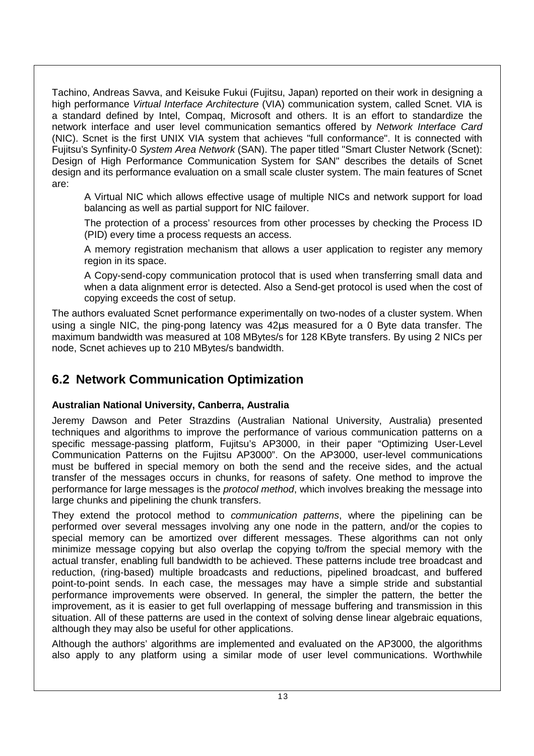Tachino, Andreas Savva, and Keisuke Fukui (Fujitsu, Japan) reported on their work in designing a high performance Virtual Interface Architecture (VIA) communication system, called Scnet. VIA is a standard defined by Intel, Compaq, Microsoft and others. It is an effort to standardize the network interface and user level communication semantics offered by Network Interface Card (NIC). Scnet is the first UNIX VIA system that achieves "full conformance". It is connected with Fujitsu's Synfinity-0 System Area Network (SAN). The paper titled "Smart Cluster Network (Scnet): Design of High Performance Communication System for SAN" describes the details of Scnet design and its performance evaluation on a small scale cluster system. The main features of Scnet are:

A Virtual NIC which allows effective usage of multiple NICs and network support for load balancing as well as partial support for NIC failover.

The protection of a process' resources from other processes by checking the Process ID (PID) every time a process requests an access.

A memory registration mechanism that allows a user application to register any memory region in its space.

A Copy-send-copy communication protocol that is used when transferring small data and when a data alignment error is detected. Also a Send-get protocol is used when the cost of copying exceeds the cost of setup.

The authors evaluated Scnet performance experimentally on two-nodes of a cluster system. When using a single NIC, the ping-pong latency was 42µs measured for a 0 Byte data transfer. The maximum bandwidth was measured at 108 MBytes/s for 128 KByte transfers. By using 2 NICs per node, Scnet achieves up to 210 MBytes/s bandwidth.

### **6.2 Network Communication Optimization**

### **Australian National University, Canberra, Australia**

Jeremy Dawson and Peter Strazdins (Australian National University, Australia) presented techniques and algorithms to improve the performance of various communication patterns on a specific message-passing platform, Fujitsu's AP3000, in their paper "Optimizing User-Level Communication Patterns on the Fujitsu AP3000". On the AP3000, user-level communications must be buffered in special memory on both the send and the receive sides, and the actual transfer of the messages occurs in chunks, for reasons of safety. One method to improve the performance for large messages is the *protocol method*, which involves breaking the message into large chunks and pipelining the chunk transfers.

They extend the protocol method to *communication patterns*, where the pipelining can be performed over several messages involving any one node in the pattern, and/or the copies to special memory can be amortized over different messages. These algorithms can not only minimize message copying but also overlap the copying to/from the special memory with the actual transfer, enabling full bandwidth to be achieved. These patterns include tree broadcast and reduction, (ring-based) multiple broadcasts and reductions, pipelined broadcast, and buffered point-to-point sends. In each case, the messages may have a simple stride and substantial performance improvements were observed. In general, the simpler the pattern, the better the improvement, as it is easier to get full overlapping of message buffering and transmission in this situation. All of these patterns are used in the context of solving dense linear algebraic equations, although they may also be useful for other applications.

Although the authors' algorithms are implemented and evaluated on the AP3000, the algorithms also apply to any platform using a similar mode of user level communications. Worthwhile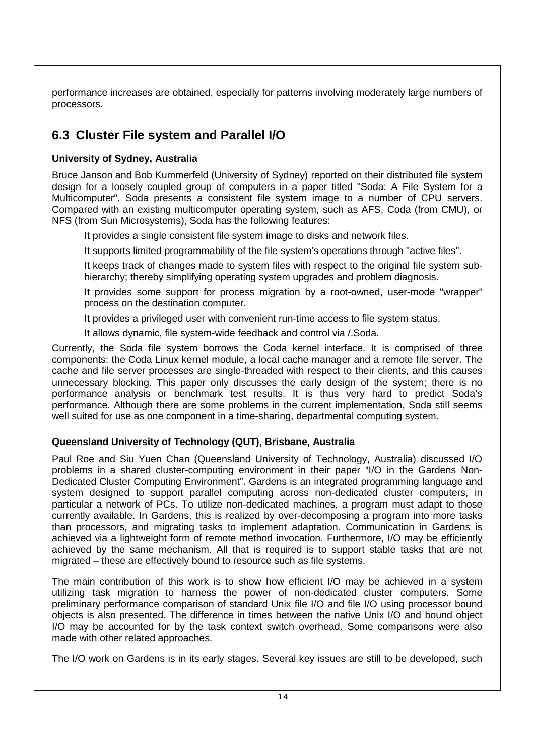performance increases are obtained, especially for patterns involving moderately large numbers of processors.

# **6.3 Cluster File system and Parallel I/O**

### **University of Sydney, Australia**

Bruce Janson and Bob Kummerfeld (University of Sydney) reported on their distributed file system design for a loosely coupled group of computers in a paper titled "Soda: A File System for a Multicomputer". Soda presents a consistent file system image to a number of CPU servers. Compared with an existing multicomputer operating system, such as AFS, Coda (from CMU), or NFS (from Sun Microsystems), Soda has the following features:

It provides a single consistent file system image to disks and network files.

It supports limited programmability of the file system's operations through "active files".

It keeps track of changes made to system files with respect to the original file system subhierarchy; thereby simplifying operating system upgrades and problem diagnosis.

It provides some support for process migration by a root-owned, user-mode "wrapper" process on the destination computer.

It provides a privileged user with convenient run-time access to file system status.

It allows dynamic, file system-wide feedback and control via /.Soda.

Currently, the Soda file system borrows the Coda kernel interface. It is comprised of three components: the Coda Linux kernel module, a local cache manager and a remote file server. The cache and file server processes are single-threaded with respect to their clients, and this causes unnecessary blocking. This paper only discusses the early design of the system; there is no performance analysis or benchmark test results. It is thus very hard to predict Soda's performance. Although there are some problems in the current implementation, Soda still seems well suited for use as one component in a time-sharing, departmental computing system.

### **Queensland University of Technology (QUT), Brisbane, Australia**

Paul Roe and Siu Yuen Chan (Queensland University of Technology, Australia) discussed I/O problems in a shared cluster-computing environment in their paper "I/O in the Gardens Non-Dedicated Cluster Computing Environment". Gardens is an integrated programming language and system designed to support parallel computing across non-dedicated cluster computers, in particular a network of PCs. To utilize non-dedicated machines, a program must adapt to those currently available. In Gardens, this is realized by over-decomposing a program into more tasks than processors, and migrating tasks to implement adaptation. Communication in Gardens is achieved via a lightweight form of remote method invocation. Furthermore, I/O may be efficiently achieved by the same mechanism. All that is required is to support stable tasks that are not migrated – these are effectively bound to resource such as file systems.

The main contribution of this work is to show how efficient I/O may be achieved in a system utilizing task migration to harness the power of non-dedicated cluster computers. Some preliminary performance comparison of standard Unix file I/O and file I/O using processor bound objects is also presented. The difference in times between the native Unix I/O and bound object I/O may be accounted for by the task context switch overhead. Some comparisons were also made with other related approaches.

The I/O work on Gardens is in its early stages. Several key issues are still to be developed, such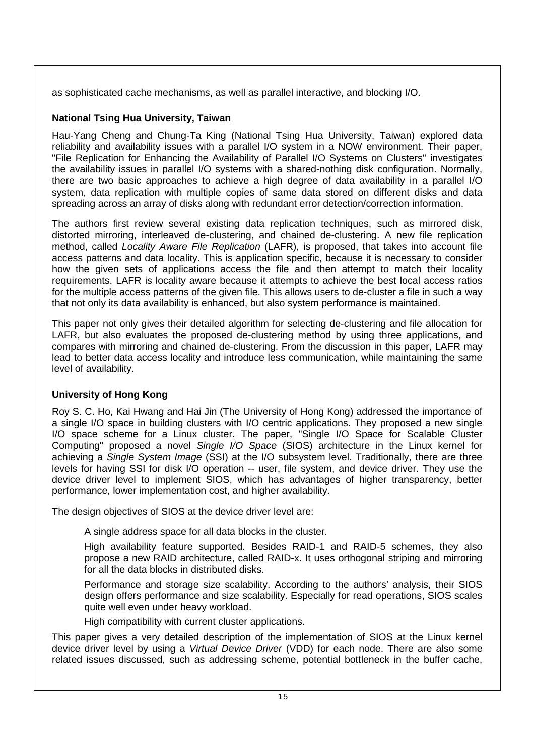as sophisticated cache mechanisms, as well as parallel interactive, and blocking I/O.

### **National Tsing Hua University, Taiwan**

Hau-Yang Cheng and Chung-Ta King (National Tsing Hua University, Taiwan) explored data reliability and availability issues with a parallel I/O system in a NOW environment. Their paper, "File Replication for Enhancing the Availability of Parallel I/O Systems on Clusters" investigates the availability issues in parallel I/O systems with a shared-nothing disk configuration. Normally, there are two basic approaches to achieve a high degree of data availability in a parallel I/O system, data replication with multiple copies of same data stored on different disks and data spreading across an array of disks along with redundant error detection/correction information.

The authors first review several existing data replication techniques, such as mirrored disk, distorted mirroring, interleaved de-clustering, and chained de-clustering. A new file replication method, called *Locality Aware File Replication* (LAFR), is proposed, that takes into account file access patterns and data locality. This is application specific, because it is necessary to consider how the given sets of applications access the file and then attempt to match their locality requirements. LAFR is locality aware because it attempts to achieve the best local access ratios for the multiple access patterns of the given file. This allows users to de-cluster a file in such a way that not only its data availability is enhanced, but also system performance is maintained.

This paper not only gives their detailed algorithm for selecting de-clustering and file allocation for LAFR, but also evaluates the proposed de-clustering method by using three applications, and compares with mirroring and chained de-clustering. From the discussion in this paper, LAFR may lead to better data access locality and introduce less communication, while maintaining the same level of availability.

### **University of Hong Kong**

Roy S. C. Ho, Kai Hwang and Hai Jin (The University of Hong Kong) addressed the importance of a single I/O space in building clusters with I/O centric applications. They proposed a new single I/O space scheme for a Linux cluster. The paper, "Single I/O Space for Scalable Cluster Computing" proposed a novel Single I/O Space (SIOS) architecture in the Linux kernel for achieving a Single System Image (SSI) at the I/O subsystem level. Traditionally, there are three levels for having SSI for disk I/O operation -- user, file system, and device driver. They use the device driver level to implement SIOS, which has advantages of higher transparency, better performance, lower implementation cost, and higher availability.

The design objectives of SIOS at the device driver level are:

A single address space for all data blocks in the cluster.

High availability feature supported. Besides RAID-1 and RAID-5 schemes, they also propose a new RAID architecture, called RAID-x. It uses orthogonal striping and mirroring for all the data blocks in distributed disks.

Performance and storage size scalability. According to the authors' analysis, their SIOS design offers performance and size scalability. Especially for read operations, SIOS scales quite well even under heavy workload.

High compatibility with current cluster applications.

This paper gives a very detailed description of the implementation of SIOS at the Linux kernel device driver level by using a Virtual Device Driver (VDD) for each node. There are also some related issues discussed, such as addressing scheme, potential bottleneck in the buffer cache,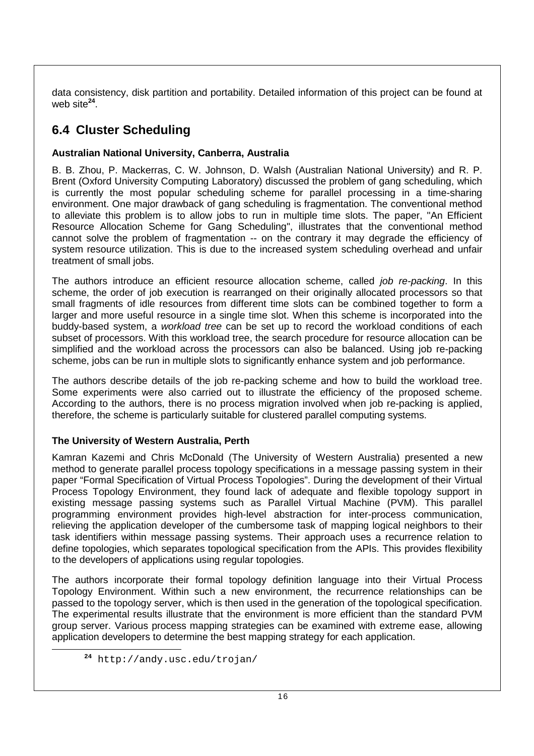data consistency, disk partition and portability. Detailed information of this project can be found at web site**<sup>24</sup>**.

# **6.4 Cluster Scheduling**

### **Australian National University, Canberra, Australia**

B. B. Zhou, P. Mackerras, C. W. Johnson, D. Walsh (Australian National University) and R. P. Brent (Oxford University Computing Laboratory) discussed the problem of gang scheduling, which is currently the most popular scheduling scheme for parallel processing in a time-sharing environment. One major drawback of gang scheduling is fragmentation. The conventional method to alleviate this problem is to allow jobs to run in multiple time slots. The paper, "An Efficient Resource Allocation Scheme for Gang Scheduling", illustrates that the conventional method cannot solve the problem of fragmentation -- on the contrary it may degrade the efficiency of system resource utilization. This is due to the increased system scheduling overhead and unfair treatment of small jobs.

The authors introduce an efficient resource allocation scheme, called *job re-packing*. In this scheme, the order of job execution is rearranged on their originally allocated processors so that small fragments of idle resources from different time slots can be combined together to form a larger and more useful resource in a single time slot. When this scheme is incorporated into the buddy-based system, a workload tree can be set up to record the workload conditions of each subset of processors. With this workload tree, the search procedure for resource allocation can be simplified and the workload across the processors can also be balanced. Using job re-packing scheme, jobs can be run in multiple slots to significantly enhance system and job performance.

The authors describe details of the job re-packing scheme and how to build the workload tree. Some experiments were also carried out to illustrate the efficiency of the proposed scheme. According to the authors, there is no process migration involved when job re-packing is applied, therefore, the scheme is particularly suitable for clustered parallel computing systems.

### **The University of Western Australia, Perth**

Kamran Kazemi and Chris McDonald (The University of Western Australia) presented a new method to generate parallel process topology specifications in a message passing system in their paper "Formal Specification of Virtual Process Topologies". During the development of their Virtual Process Topology Environment, they found lack of adequate and flexible topology support in existing message passing systems such as Parallel Virtual Machine (PVM). This parallel programming environment provides high-level abstraction for inter-process communication, relieving the application developer of the cumbersome task of mapping logical neighbors to their task identifiers within message passing systems. Their approach uses a recurrence relation to define topologies, which separates topological specification from the APIs. This provides flexibility to the developers of applications using regular topologies.

The authors incorporate their formal topology definition language into their Virtual Process Topology Environment. Within such a new environment, the recurrence relationships can be passed to the topology server, which is then used in the generation of the topological specification. The experimental results illustrate that the environment is more efficient than the standard PVM group server. Various process mapping strategies can be examined with extreme ease, allowing application developers to determine the best mapping strategy for each application.

**<sup>24</sup>** http://andy.usc.edu/trojan/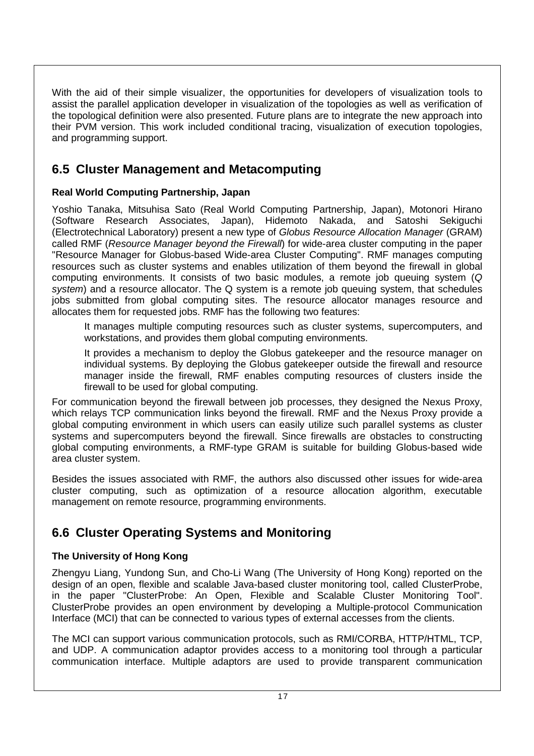With the aid of their simple visualizer, the opportunities for developers of visualization tools to assist the parallel application developer in visualization of the topologies as well as verification of the topological definition were also presented. Future plans are to integrate the new approach into their PVM version. This work included conditional tracing, visualization of execution topologies, and programming support.

### **6.5 Cluster Management and Metacomputing**

### **Real World Computing Partnership, Japan**

Yoshio Tanaka, Mitsuhisa Sato (Real World Computing Partnership, Japan), Motonori Hirano (Software Research Associates, Japan), Hidemoto Nakada, and Satoshi Sekiguchi (Electrotechnical Laboratory) present a new type of Globus Resource Allocation Manager (GRAM) called RMF (Resource Manager beyond the Firewall) for wide-area cluster computing in the paper "Resource Manager for Globus-based Wide-area Cluster Computing". RMF manages computing resources such as cluster systems and enables utilization of them beyond the firewall in global computing environments. It consists of two basic modules, a remote job queuing system (Q system) and a resource allocator. The Q system is a remote job queuing system, that schedules jobs submitted from global computing sites. The resource allocator manages resource and allocates them for requested jobs. RMF has the following two features:

It manages multiple computing resources such as cluster systems, supercomputers, and workstations, and provides them global computing environments.

It provides a mechanism to deploy the Globus gatekeeper and the resource manager on individual systems. By deploying the Globus gatekeeper outside the firewall and resource manager inside the firewall, RMF enables computing resources of clusters inside the firewall to be used for global computing.

For communication beyond the firewall between job processes, they designed the Nexus Proxy, which relays TCP communication links beyond the firewall. RMF and the Nexus Proxy provide a global computing environment in which users can easily utilize such parallel systems as cluster systems and supercomputers beyond the firewall. Since firewalls are obstacles to constructing global computing environments, a RMF-type GRAM is suitable for building Globus-based wide area cluster system.

Besides the issues associated with RMF, the authors also discussed other issues for wide-area cluster computing, such as optimization of a resource allocation algorithm, executable management on remote resource, programming environments.

## **6.6 Cluster Operating Systems and Monitoring**

### **The University of Hong Kong**

Zhengyu Liang, Yundong Sun, and Cho-Li Wang (The University of Hong Kong) reported on the design of an open, flexible and scalable Java-based cluster monitoring tool, called ClusterProbe, in the paper "ClusterProbe: An Open, Flexible and Scalable Cluster Monitoring Tool". ClusterProbe provides an open environment by developing a Multiple-protocol Communication Interface (MCI) that can be connected to various types of external accesses from the clients.

The MCI can support various communication protocols, such as RMI/CORBA, HTTP/HTML, TCP, and UDP. A communication adaptor provides access to a monitoring tool through a particular communication interface. Multiple adaptors are used to provide transparent communication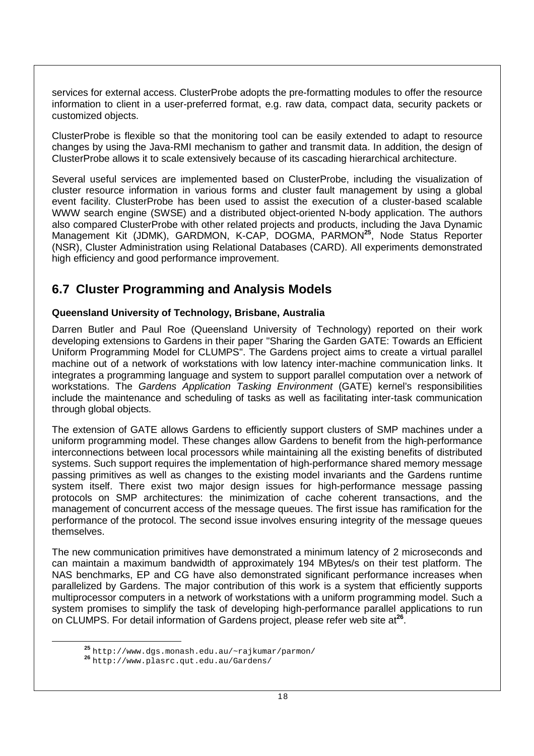services for external access. ClusterProbe adopts the pre-formatting modules to offer the resource information to client in a user-preferred format, e.g. raw data, compact data, security packets or customized objects.

ClusterProbe is flexible so that the monitoring tool can be easily extended to adapt to resource changes by using the Java-RMI mechanism to gather and transmit data. In addition, the design of ClusterProbe allows it to scale extensively because of its cascading hierarchical architecture.

Several useful services are implemented based on ClusterProbe, including the visualization of cluster resource information in various forms and cluster fault management by using a global event facility. ClusterProbe has been used to assist the execution of a cluster-based scalable WWW search engine (SWSE) and a distributed object-oriented N-body application. The authors also compared ClusterProbe with other related projects and products, including the Java Dynamic Management Kit (JDMK), GARDMON, K-CAP, DOGMA, PARMON**<sup>25</sup>**, Node Status Reporter (NSR), Cluster Administration using Relational Databases (CARD). All experiments demonstrated high efficiency and good performance improvement.

### **6.7 Cluster Programming and Analysis Models**

### **Queensland University of Technology, Brisbane, Australia**

Darren Butler and Paul Roe (Queensland University of Technology) reported on their work developing extensions to Gardens in their paper "Sharing the Garden GATE: Towards an Efficient Uniform Programming Model for CLUMPS". The Gardens project aims to create a virtual parallel machine out of a network of workstations with low latency inter-machine communication links. It integrates a programming language and system to support parallel computation over a network of workstations. The Gardens Application Tasking Environment (GATE) kernel's responsibilities include the maintenance and scheduling of tasks as well as facilitating inter-task communication through global objects.

The extension of GATE allows Gardens to efficiently support clusters of SMP machines under a uniform programming model. These changes allow Gardens to benefit from the high-performance interconnections between local processors while maintaining all the existing benefits of distributed systems. Such support requires the implementation of high-performance shared memory message passing primitives as well as changes to the existing model invariants and the Gardens runtime system itself. There exist two major design issues for high-performance message passing protocols on SMP architectures: the minimization of cache coherent transactions, and the management of concurrent access of the message queues. The first issue has ramification for the performance of the protocol. The second issue involves ensuring integrity of the message queues themselves.

The new communication primitives have demonstrated a minimum latency of 2 microseconds and can maintain a maximum bandwidth of approximately 194 MBytes/s on their test platform. The NAS benchmarks, EP and CG have also demonstrated significant performance increases when parallelized by Gardens. The major contribution of this work is a system that efficiently supports multiprocessor computers in a network of workstations with a uniform programming model. Such a system promises to simplify the task of developing high-performance parallel applications to run on CLUMPS. For detail information of Gardens project, please refer web site at**<sup>26</sup>**.

**<sup>25</sup>** http://www.dgs.monash.edu.au/~rajkumar/parmon/ **<sup>26</sup>** http://www.plasrc.qut.edu.au/Gardens/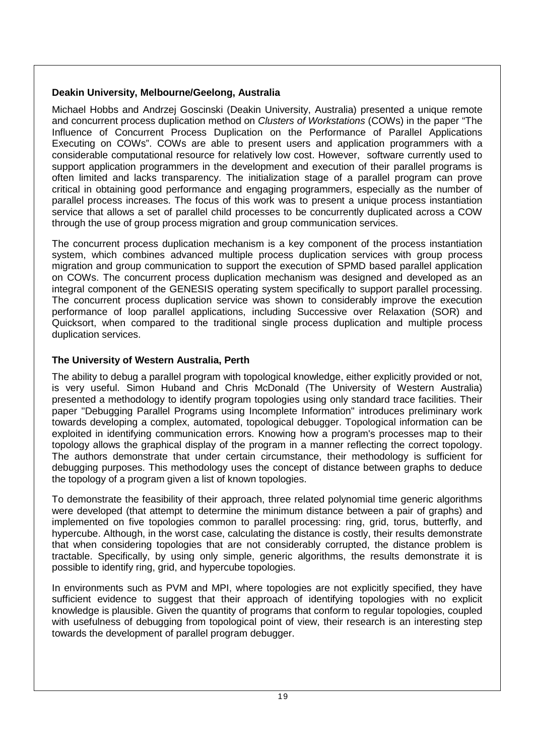### **Deakin University, Melbourne/Geelong, Australia**

Michael Hobbs and Andrzej Goscinski (Deakin University, Australia) presented a unique remote and concurrent process duplication method on Clusters of Workstations (COWs) in the paper "The Influence of Concurrent Process Duplication on the Performance of Parallel Applications Executing on COWs". COWs are able to present users and application programmers with a considerable computational resource for relatively low cost. However, software currently used to support application programmers in the development and execution of their parallel programs is often limited and lacks transparency. The initialization stage of a parallel program can prove critical in obtaining good performance and engaging programmers, especially as the number of parallel process increases. The focus of this work was to present a unique process instantiation service that allows a set of parallel child processes to be concurrently duplicated across a COW through the use of group process migration and group communication services.

The concurrent process duplication mechanism is a key component of the process instantiation system, which combines advanced multiple process duplication services with group process migration and group communication to support the execution of SPMD based parallel application on COWs. The concurrent process duplication mechanism was designed and developed as an integral component of the GENESIS operating system specifically to support parallel processing. The concurrent process duplication service was shown to considerably improve the execution performance of loop parallel applications, including Successive over Relaxation (SOR) and Quicksort, when compared to the traditional single process duplication and multiple process duplication services.

### **The University of Western Australia, Perth**

The ability to debug a parallel program with topological knowledge, either explicitly provided or not, is very useful. Simon Huband and Chris McDonald (The University of Western Australia) presented a methodology to identify program topologies using only standard trace facilities. Their paper "Debugging Parallel Programs using Incomplete Information" introduces preliminary work towards developing a complex, automated, topological debugger. Topological information can be exploited in identifying communication errors. Knowing how a program's processes map to their topology allows the graphical display of the program in a manner reflecting the correct topology. The authors demonstrate that under certain circumstance, their methodology is sufficient for debugging purposes. This methodology uses the concept of distance between graphs to deduce the topology of a program given a list of known topologies.

To demonstrate the feasibility of their approach, three related polynomial time generic algorithms were developed (that attempt to determine the minimum distance between a pair of graphs) and implemented on five topologies common to parallel processing: ring, grid, torus, butterfly, and hypercube. Although, in the worst case, calculating the distance is costly, their results demonstrate that when considering topologies that are not considerably corrupted, the distance problem is tractable. Specifically, by using only simple, generic algorithms, the results demonstrate it is possible to identify ring, grid, and hypercube topologies.

In environments such as PVM and MPI, where topologies are not explicitly specified, they have sufficient evidence to suggest that their approach of identifying topologies with no explicit knowledge is plausible. Given the quantity of programs that conform to regular topologies, coupled with usefulness of debugging from topological point of view, their research is an interesting step towards the development of parallel program debugger.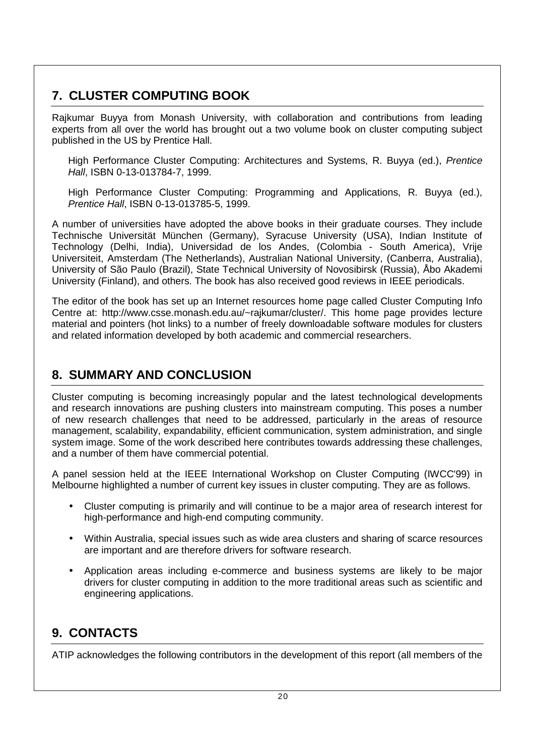# **7. CLUSTER COMPUTING BOOK**

Rajkumar Buyya from Monash University, with collaboration and contributions from leading experts from all over the world has brought out a two volume book on cluster computing subject published in the US by Prentice Hall.

High Performance Cluster Computing: Architectures and Systems, R. Buyya (ed.), Prentice Hall, ISBN 0-13-013784-7, 1999.

High Performance Cluster Computing: Programming and Applications, R. Buyya (ed.), Prentice Hall, ISBN 0-13-013785-5, 1999.

A number of universities have adopted the above books in their graduate courses. They include Technische Universität München (Germany), Syracuse University (USA), Indian Institute of Technology (Delhi, India), Universidad de los Andes, (Colombia - South America), Vrije Universiteit, Amsterdam (The Netherlands), Australian National University, (Canberra, Australia), University of São Paulo (Brazil), State Technical University of Novosibirsk (Russia), Åbo Akademi University (Finland), and others. The book has also received good reviews in IEEE periodicals.

The editor of the book has set up an Internet resources home page called Cluster Computing Info Centre at: http://www.csse.monash.edu.au/~rajkumar/cluster/. This home page provides lecture material and pointers (hot links) to a number of freely downloadable software modules for clusters and related information developed by both academic and commercial researchers.

## **8. SUMMARY AND CONCLUSION**

Cluster computing is becoming increasingly popular and the latest technological developments and research innovations are pushing clusters into mainstream computing. This poses a number of new research challenges that need to be addressed, particularly in the areas of resource management, scalability, expandability, efficient communication, system administration, and single system image. Some of the work described here contributes towards addressing these challenges, and a number of them have commercial potential.

A panel session held at the IEEE International Workshop on Cluster Computing (IWCC'99) in Melbourne highlighted a number of current key issues in cluster computing. They are as follows.

- Cluster computing is primarily and will continue to be a major area of research interest for high-performance and high-end computing community.
- Within Australia, special issues such as wide area clusters and sharing of scarce resources are important and are therefore drivers for software research.
- Application areas including e-commerce and business systems are likely to be major drivers for cluster computing in addition to the more traditional areas such as scientific and engineering applications.

# **9. CONTACTS**

ATIP acknowledges the following contributors in the development of this report (all members of the